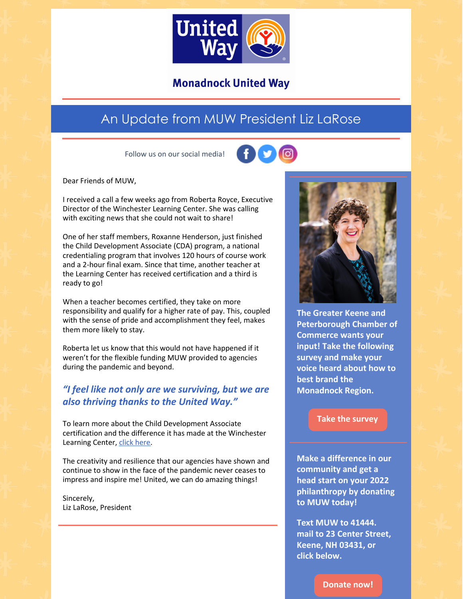

## **Monadnock United Way**

# An Update from MUW President Liz LaRose

Follow us on our social media!



Dear Friends of MUW,

I received a call a few weeks ago from Roberta Royce, Executive Director of the Winchester Learning Center. She was calling with exciting news that she could not wait to share!

One of her staff members, Roxanne Henderson, just finished the Child Development Associate (CDA) program, a national credentialing program that involves 120 hours of course work and a 2-hour final exam. Since that time, another teacher at the Learning Center has received certification and a third is ready to go!

When a teacher becomes certified, they take on more responsibility and qualify for a higher rate of pay. This, coupled with the sense of pride and accomplishment they feel, makes them more likely to stay.

Roberta let us know that this would not have happened if it weren't for the flexible funding MUW provided to agencies during the pandemic and beyond.

## *"I feel like not only are we surviving, but we are also thriving thanks to the United Way."*

To learn more about the Child Development Associate certification and the difference it has made at the Winchester Learning Center, click [here.](https://www.youtube.com/watch?v=8CbwVYkdP-I&feature=youtu.be)

The creativity and resilience that our agencies have shown and continue to show in the face of the pandemic never ceases to impress and inspire me! United, we can do amazing things!

Sincerely, Liz LaRose, President



**The Greater Keene and Peterborough Chamber of Commerce wants your input! Take the following survey and make your voice heard about how to best brand the Monadnock Region.**

#### **Take the [survey](https://northstarideas.az1.qualtrics.com/jfe/form/SV_81WbaTkkJUgIiwK)**

**Make a difference in our community and get a head start on your 2022 philanthropy by donating to MUW today!**

**Text MUW to 41444. mail to 23 Center Street, Keene, NH 03431, or click below.**

**[Donate](https://app.mobilecause.com/form/ZRKvlQ?reset=1&%253Bid=1&vid=oi7n5) now!**